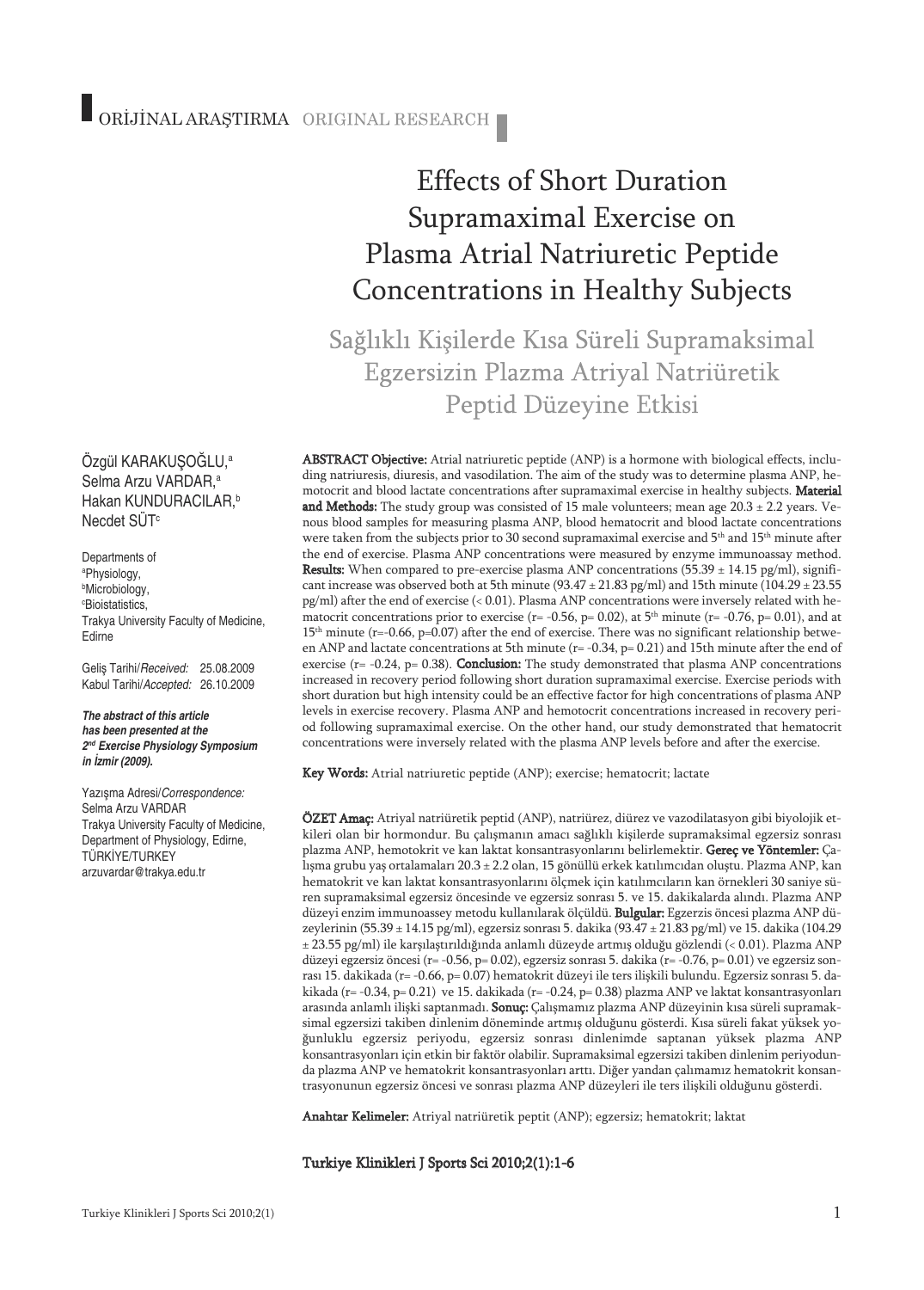Ozgül KARAKUŞOGLU,ª Selma Arzu VARDAR, a Hakan KUNDURACILAR, b Necdet SÜT<sup>c</sup>

Departments of a Physiology, b Microbiology, c Bioistatistics, Trakya University Faculty of Medicine, Edirne

Geliş Tarihi/*Received:* 25.08.2009 Kabul Tarihi/*Accepted:* 26.10.2009

*The abstract of this article has been presented at the 2nd Exercise Physiology Symposium in İzmir (2009).*

Yazışma Adresi/*Correspondence:* Selma Arzu VARDAR Trakya University Faculty of Medicine, Department of Physiology, Edirne, TÜRKİYE/TURKEY arzuvardar@trakya.edu.tr

# Effects of Short Duration Supramaximal Exercise on Plasma Atrial Natriuretic Peptide Concentrations in Healthy Subjects

Sağlıklı Kişilerde Kısa Süreli Supramaksimal Egzersizin Plazma Atriyal Natriüretik Peptid Düzeyine Etkisi

ABSTRACT Objective: Atrial natriuretic peptide (ANP) is a hormone with biological effects, including natriuresis, diuresis, and vasodilation. The aim of the study was to determine plasma ANP, hemotocrit and blood lactate concentrations after supramaximal exercise in healthy subjects. Material and Methods: The study group was consisted of 15 male volunteers; mean age  $20.3 \pm 2.2$  years. Venous blood samples for measuring plasma ANP, blood hematocrit and blood lactate concentrations were taken from the subjects prior to 30 second supramaximal exercise and 5th and 15th minute after the end of exercise. Plasma ANP concentrations were measured by enzyme immunoassay method. **Results:** When compared to pre-exercise plasma ANP concentrations  $(55.39 \pm 14.15 \text{ pg/ml})$ , significant increase was observed both at 5th minute (93.47  $\pm$  21.83 pg/ml) and 15th minute (104.29  $\pm$  23.55 pg/ml) after the end of exercise (< 0.01). Plasma ANP concentrations were inversely related with hematocrit concentrations prior to exercise ( $r = -0.56$ ,  $p = 0.02$ ), at  $5<sup>th</sup>$  minute ( $r = -0.76$ ,  $p = 0.01$ ), and at  $15<sup>th</sup>$  minute (r=-0.66, p=0.07) after the end of exercise. There was no significant relationship between ANP and lactate concentrations at 5th minute ( $r = -0.34$ ,  $p = 0.21$ ) and 15th minute after the end of exercise ( $r = -0.24$ ,  $p = 0.38$ ). **Conclusion:** The study demonstrated that plasma ANP concentrations increased in recovery period following short duration supramaximal exercise. Exercise periods with short duration but high intensity could be an effective factor for high concentrations of plasma ANP levels in exercise recovery. Plasma ANP and hemotocrit concentrations increased in recovery period following supramaximal exercise. On the other hand, our study demonstrated that hematocrit concentrations were inversely related with the plasma ANP levels before and after the exercise.

Key Words: Atrial natriuretic peptide (ANP); exercise; hematocrit; lactate

ÖZET Amaç: Atriyal natriüretik peptid (ANP), natriürez, diürez ve vazodilatasyon gibi biyolojik etkileri olan bir hormondur. Bu çalışmanın amacı sağlıklı kişilerde supramaksimal egzersiz sonrası plazma ANP, hemotokrit ve kan laktat konsantrasyonlarını belirlemektir. Gereç ve Yöntemler: Çalışma grubu yaş ortalamaları 20.3 ± 2.2 olan, 15 gönüllü erkek katılımcıdan oluştu. Plazma ANP, kan hematokrit ve kan laktat konsantrasyonlarını ölçmek için katılımcıların kan örnekleri 30 saniye süren supramaksimal egzersiz öncesinde ve egzersiz sonrası 5. ve 15. dakikalarda alındı. Plazma ANP düzeyi enzim immunoassey metodu kullanılarak ölçüldü. Bulgular: Egzerzis öncesi plazma ANP düzeylerinin (55.39 ± 14.15 pg/ml), egzersiz sonrası 5. dakika (93.47 ± 21.83 pg/ml) ve 15. dakika (104.29 ± 23.55 pg/ml) ile karşılaştırıldığında anlamlı düzeyde artmış olduğu gözlendi (< 0.01). Plazma ANP düzeyi egzersiz öncesi (r= -0.56, p= 0.02), egzersiz sonrası 5. dakika (r= -0.76, p= 0.01) ve egzersiz sonrası 15. dakikada (r= -0.66, p= 0.07) hematokrit düzeyi ile ters ilişkili bulundu. Egzersiz sonrası 5. dakikada (r= -0.34, p= 0.21) ve 15. dakikada (r= -0.24, p= 0.38) plazma ANP ve laktat konsantrasyonları arasında anlamlı ilişki saptanmadı.  ${\bf Sonuc}$ Çalışmamız plazma ANP düzeyinin kısa süreli supramaksimal egzersizi takiben dinlenim döneminde artmış olduğunu gösterdi. Kısa süreli fakat yüksek yoğunluklu egzersiz periyodu, egzersiz sonrası dinlenimde saptanan yüksek plazma ANP konsantrasyonları için etkin bir faktör olabilir. Supramaksimal egzersizi takiben dinlenim periyodunda plazma ANP ve hematokrit konsantrasyonları arttı. Diğer yandan çalımamız hematokrit konsantrasyonunun egzersiz öncesi ve sonrası plazma ANP düzeyleri ile ters ilişkili olduğunu gösterdi.

Anahtar Kelimeler: Atriyal natriüretik peptit (ANP); egzersiz; hematokrit; laktat

Turkiye Klinikleri J Sports Sci 2010;2(1):1-6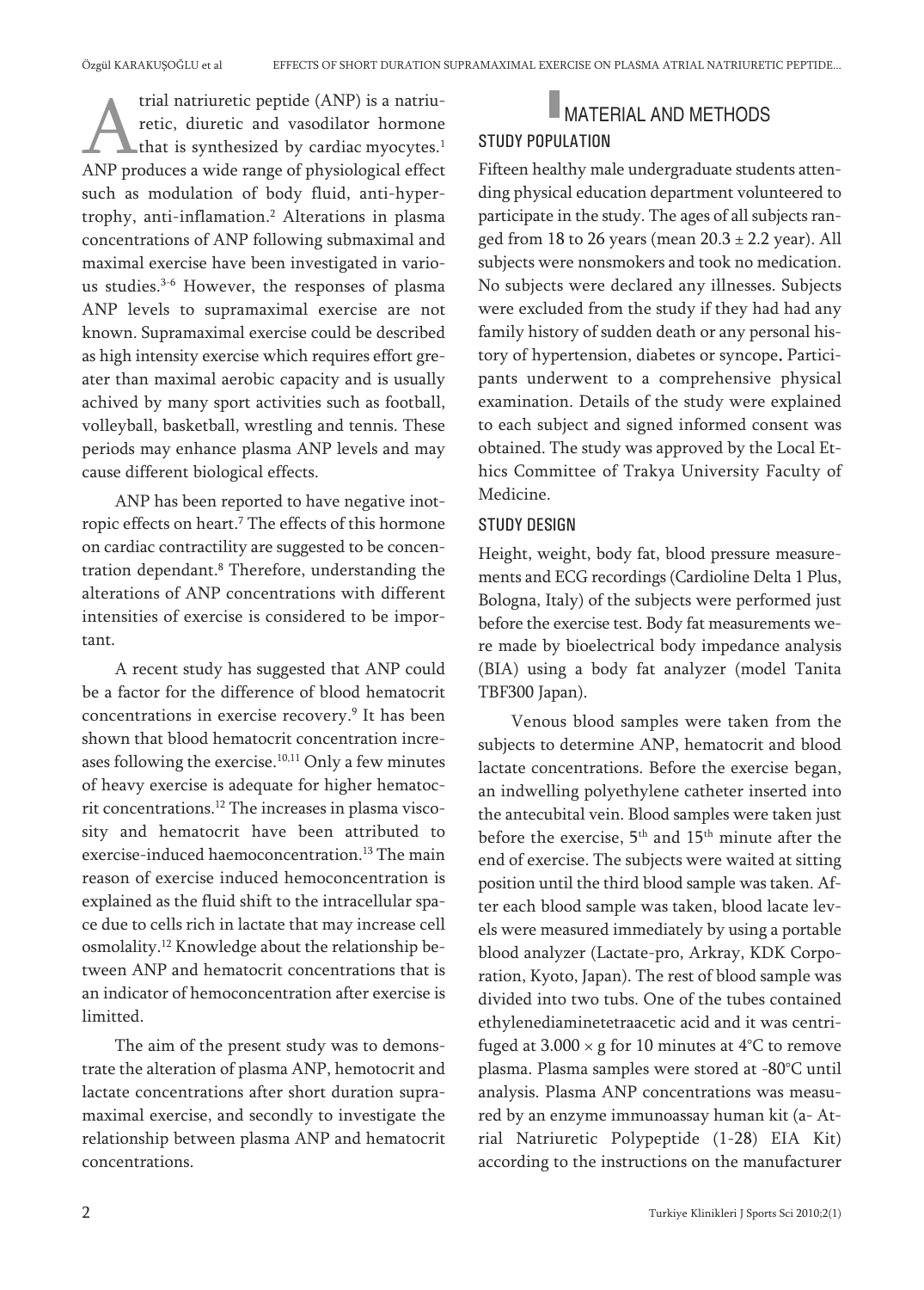trial natriuretic peptide (ANP) is a natriuretic, diuretic and vasodilator hormone that is synthesized by cardiac myocytes. 1 ANP produces a wide range of physiological effect such as modulation of body fluid, anti-hypertrophy, anti-inflamation. <sup>2</sup> Alterations in plasma concentrations of ANP following submaximal and maximal exercise have been investigated in various studies. 3-6 However, the responses of plasma ANP levels to supramaximal exercise are not known. Supramaximal exercise could be described as high intensity exercise which requires effort greater than maximal aerobic capacity and is usually achived by many sport activities such as football, volleyball, basketball, wrestling and tennis. These periods may enhance plasma ANP levels and may cause different biological effects.

ANP has been reported to have negative inotropic effects on heart. <sup>7</sup> The effects of this hormone on cardiac contractility are suggested to be concentration dependant. <sup>8</sup> Therefore, understanding the alterations of ANP concentrations with different intensities of exercise is considered to be important.

A recent study has suggested that ANP could be a factor for the difference of blood hematocrit concentrations in exercise recovery. <sup>9</sup> It has been shown that blood hematocrit concentration increases following the exercise. 10,11 Only a few minutes of heavy exercise is adequate for higher hematocrit concentrations. <sup>12</sup> The increases in plasma viscosity and hematocrit have been attributed to exercise-induced haemoconcentration. <sup>13</sup> The main reason of exercise induced hemoconcentration is explained as the fluid shift to the intracellular space due to cells rich in lactate that may increase cell osmolality. <sup>12</sup> Knowledge about the relationship between ANP and hematocrit concentrations that is an indicator of hemoconcentration after exercise is limitted.

The aim of the present study was to demonstrate the alteration of plasma ANP, hemotocrit and lactate concentrations after short duration supramaximal exercise, and secondly to investigate the relationship between plasma ANP and hematocrit concentrations.

## **MATERIAL AND METHODS** STUDY POPULATION

Fifteen healthy male undergraduate students attending physical education department volunteered to participate in the study. The ages of all subjects ranged from 18 to 26 years (mean  $20.3 \pm 2.2$  year). All subjects were nonsmokers and took no medication. No subjects were declared any illnesses. Subjects were excluded from the study if they had had any family history of sudden death or any personal history of hypertension, diabetes or syncope. Participants underwent to a comprehensive physical examination. Details of the study were explained to each subject and signed informed consent was obtained. The study was approved by the Local Ethics Committee of Trakya University Faculty of Medicine.

### STUDY DESIGN

Height, weight, body fat, blood pressure measurements and ECG recordings (Cardioline Delta 1 Plus, Bologna, Italy) of the subjects were performed just before the exercise test. Body fat measurements were made by bioelectrical body impedance analysis (BIA) using a body fat analyzer (model Tanita TBF300 Japan).

Venous blood samples were taken from the subjects to determine ANP, hematocrit and blood lactate concentrations. Before the exercise began, an indwelling polyethylene catheter inserted into the antecubital vein. Blood samples were taken just before the exercise, 5<sup>th</sup> and 15<sup>th</sup> minute after the end of exercise. The subjects were waited at sitting position until the third blood sample was taken. After each blood sample was taken, blood lacate levels were measured immediately by using a portable blood analyzer (Lactate-pro, Arkray, KDK Corporation, Kyoto, Japan). The rest of blood sample was divided into two tubs. One of the tubes contained ethylenediaminetetraacetic acid and it was centrifuged at  $3.000 \times g$  for 10 minutes at 4°C to remove plasma. Plasma samples were stored at -80°C until analysis. Plasma ANP concentrations was measured by an enzyme immunoassay human kit (a- Atrial Natriuretic Polypeptide (1-28) EIA Kit) according to the instructions on the manufacturer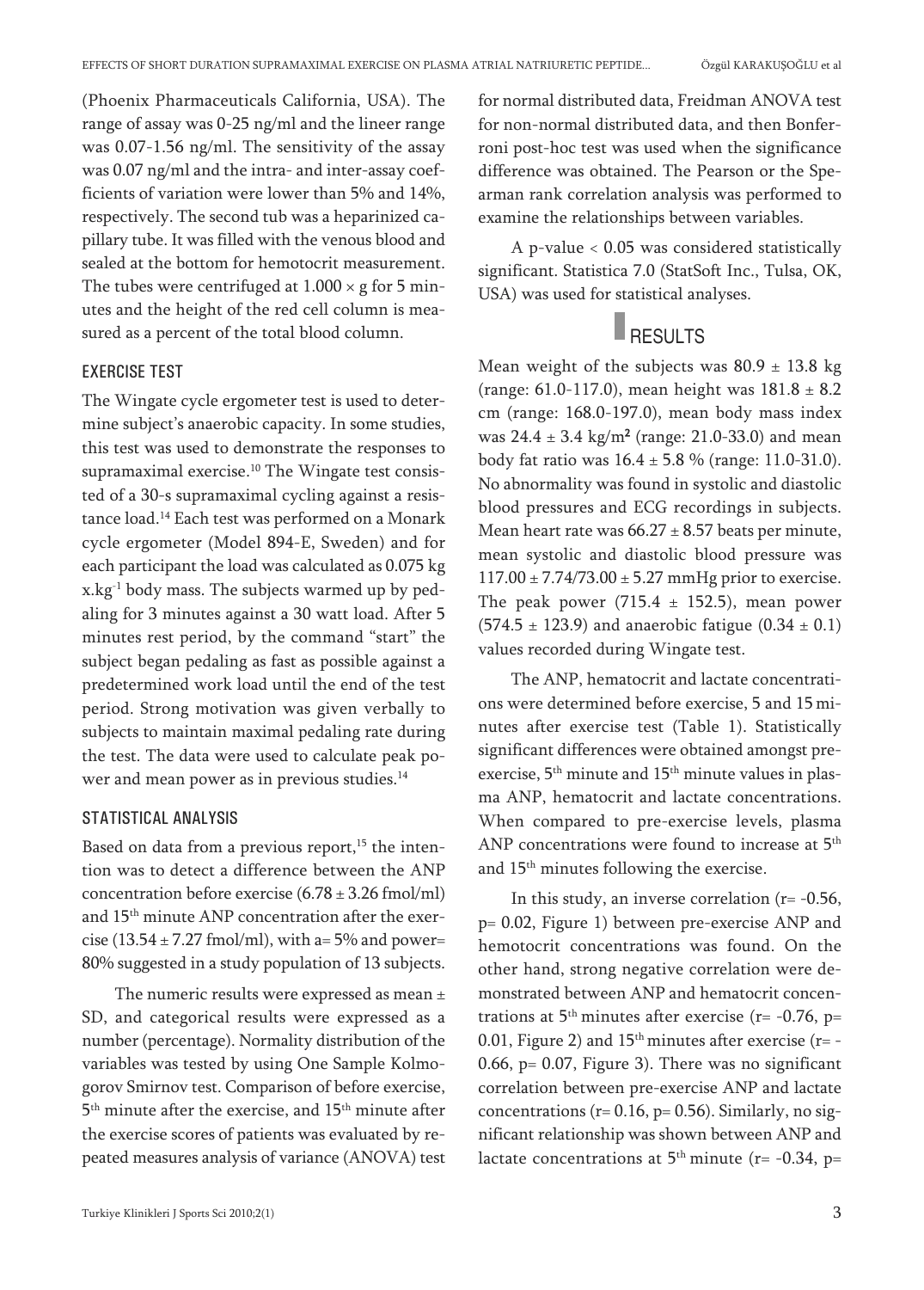(Phoenix Pharmaceuticals California, USA). The range of assay was 0-25 ng/ml and the lineer range was 0.07-1.56 ng/ml. The sensitivity of the assay was 0.07 ng/ml and the intra- and inter-assay coefficients of variation were lower than 5% and 14%, respectively. The second tub was a heparinized capillary tube. It was filled with the venous blood and sealed at the bottom for hemotocrit measurement. The tubes were centrifuged at  $1.000 \times g$  for 5 minutes and the height of the red cell column is measured as a percent of the total blood column.

#### EXERCISE TEST

The Wingate cycle ergometer test is used to determine subject's anaerobic capacity. In some studies, this test was used to demonstrate the responses to supramaximal exercise. <sup>10</sup> The Wingate test consisted of a 30-s supramaximal cycling against a resistance load. <sup>14</sup> Each test was performed on a Monark cycle ergometer (Model 894-E, Sweden) and for each participant the load was calculated as 0.075 kg x.kg-1 body mass. The subjects warmed up by pedaling for 3 minutes against a 30 watt load. After 5 minutes rest period, by the command "start" the subject began pedaling as fast as possible against a predetermined work load until the end of the test period. Strong motivation was given verbally to subjects to maintain maximal pedaling rate during the test. The data were used to calculate peak power and mean power as in previous studies. 14

#### STATISTICAL ANALYSIS

Based on data from a previous report,<sup>15</sup> the intention was to detect a difference between the ANP concentration before exercise  $(6.78 \pm 3.26 \text{ fmol/ml})$ and 15<sup>th</sup> minute ANP concentration after the exercise (13.54  $\pm$  7.27 fmol/ml), with a= 5% and power= 80% suggested in a study population of 13 subjects.

The numeric results were expressed as mean  $\pm$ SD, and categorical results were expressed as a number (percentage). Normality distribution of the variables was tested by using One Sample Kolmogorov Smirnov test. Comparison of before exercise, 5<sup>th</sup> minute after the exercise, and 15<sup>th</sup> minute after the exercise scores of patients was evaluated by repeated measures analysis of variance (ANOVA) test for normal distributed data, Freidman ANOVA test for non-normal distributed data, and then Bonferroni post-hoc test was used when the significance difference was obtained. The Pearson or the Spearman rank correlation analysis was performed to examine the relationships between variables.

A p-value < 0.05 was considered statistically significant. Statistica 7.0 (StatSoft Inc., Tulsa, OK, USA) was used for statistical analyses.

# **RESULTS**

Mean weight of the subjects was  $80.9 \pm 13.8$  kg (range: 61.0-117.0), mean height was  $181.8 \pm 8.2$ cm (range: 168.0-197.0), mean body mass index was  $24.4 \pm 3.4$  kg/m<sup>2</sup> (range: 21.0-33.0) and mean body fat ratio was  $16.4 \pm 5.8$  % (range: 11.0-31.0). No abnormality was found in systolic and diastolic blood pressures and ECG recordings in subjects. Mean heart rate was  $66.27 \pm 8.57$  beats per minute, mean systolic and diastolic blood pressure was  $117.00 \pm 7.74/73.00 \pm 5.27$  mmHg prior to exercise. The peak power (715.4  $\pm$  152.5), mean power  $(574.5 \pm 123.9)$  and anaerobic fatigue  $(0.34 \pm 0.1)$ values recorded during Wingate test.

The ANP, hematocrit and lactate concentrations were determined before exercise, 5 and 15 minutes after exercise test (Table 1). Statistically significant differences were obtained amongst preexercise, 5<sup>th</sup> minute and 15<sup>th</sup> minute values in plasma ANP, hematocrit and lactate concentrations. When compared to pre-exercise levels, plasma ANP concentrations were found to increase at 5<sup>th</sup> and 15th minutes following the exercise.

In this study, an inverse correlation  $(r = -0.56,$ p= 0.02, Figure 1) between pre-exercise ANP and hemotocrit concentrations was found. On the other hand, strong negative correlation were demonstrated between ANP and hematocrit concentrations at  $5<sup>th</sup>$  minutes after exercise (r= -0.76, p= 0.01, Figure 2) and  $15<sup>th</sup>$  minutes after exercise (r= -0.66,  $p = 0.07$ , Figure 3). There was no significant correlation between pre-exercise ANP and lactate concentrations ( $r= 0.16$ ,  $p= 0.56$ ). Similarly, no significant relationship was shown between ANP and lactate concentrations at  $5<sup>th</sup>$  minute (r= -0.34, p=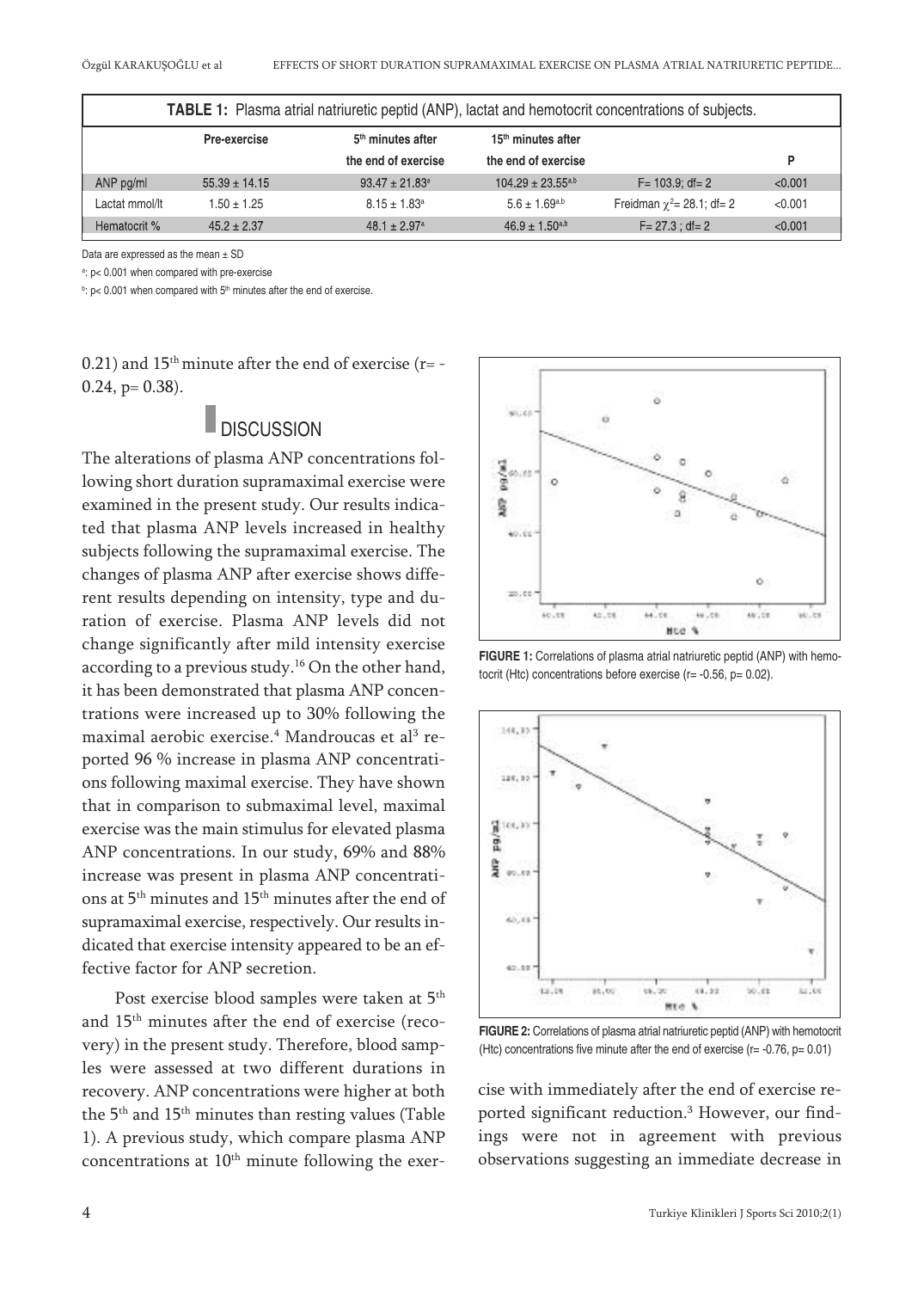| <b>TABLE 1:</b> Plasma atrial natriuretic peptid (ANP), lactat and hemotocrit concentrations of subjects. |                   |                                |                                |                                  |         |
|-----------------------------------------------------------------------------------------------------------|-------------------|--------------------------------|--------------------------------|----------------------------------|---------|
|                                                                                                           | Pre-exercise      | 5 <sup>th</sup> minutes after  | 15 <sup>th</sup> minutes after |                                  |         |
|                                                                                                           |                   | the end of exercise            | the end of exercise            |                                  | P       |
| ANP pg/ml                                                                                                 | $55.39 \pm 14.15$ | $93.47 \pm 21.83$ <sup>a</sup> | $104.29 \pm 23.55^{a,b}$       | $F = 103.9$ ; df= 2              | < 0.001 |
| Lactat mmol/lt                                                                                            | $1.50 \pm 1.25$   | $8.15 \pm 1.83$ <sup>a</sup>   | $5.6 \pm 1.69^{a,b}$           | Freidman $\chi^2$ = 28.1; df = 2 | < 0.001 |
| Hematocrit %                                                                                              | $45.2 \pm 2.37$   | $48.1 \pm 2.97$ <sup>a</sup>   | $46.9 \pm 1.50^{a,b}$          | $F = 27.3 : df = 2$              | < 0.001 |

Data are expressed as the mean ± SD

a : p< 0.001 when compared with pre-exercise

 $b$ : p< 0.001 when compared with  $5<sup>th</sup>$  minutes after the end of exercise.

0.21) and  $15<sup>th</sup>$  minute after the end of exercise (r= -0.24, p= 0.38).

### **DISCUSSION**

The alterations of plasma ANP concentrations following short duration supramaximal exercise were examined in the present study. Our results indicated that plasma ANP levels increased in healthy subjects following the supramaximal exercise. The changes of plasma ANP after exercise shows different results depending on intensity, type and duration of exercise. Plasma ANP levels did not change significantly after mild intensity exercise according to a previous study. <sup>16</sup> On the other hand, it has been demonstrated that plasma ANP concentrations were increased up to 30% following the maximal aerobic exercise. <sup>4</sup> Mandroucas et al <sup>3</sup> reported 96 % increase in plasma ANP concentrations following maximal exercise. They have shown that in comparison to submaximal level, maximal exercise was the main stimulus for elevated plasma ANP concentrations. In our study, 69% and 88% increase was present in plasma ANP concentrations at 5th minutes and 15th minutes after the end of supramaximal exercise, respectively. Our results indicated that exercise intensity appeared to be an effective factor for ANP secretion.

Post exercise blood samples were taken at 5<sup>th</sup> and 15th minutes after the end of exercise (recovery) in the present study. Therefore, blood samples were assessed at two different durations in recovery. ANP concentrations were higher at both the  $5^{\rm th}$  and  $15^{\rm th}$  minutes than resting values (Table 1). A previous study, which compare plasma ANP concentrations at  $10<sup>th</sup>$  minute following the exer-



**FIGURE 1:** Correlations of plasma atrial natriuretic peptid (ANP) with hemotocrit (Htc) concentrations before exercise (r= -0.56, p= 0.02).



**FIGURE 2:** Correlations of plasma atrial natriuretic peptid (ANP) with hemotocrit (Htc) concentrations five minute after the end of exercise ( $r = -0.76$ ,  $p = 0.01$ )

cise with immediately after the end of exercise reported significant reduction. <sup>3</sup> However, our findings were not in agreement with previous observations suggesting an immediate decrease in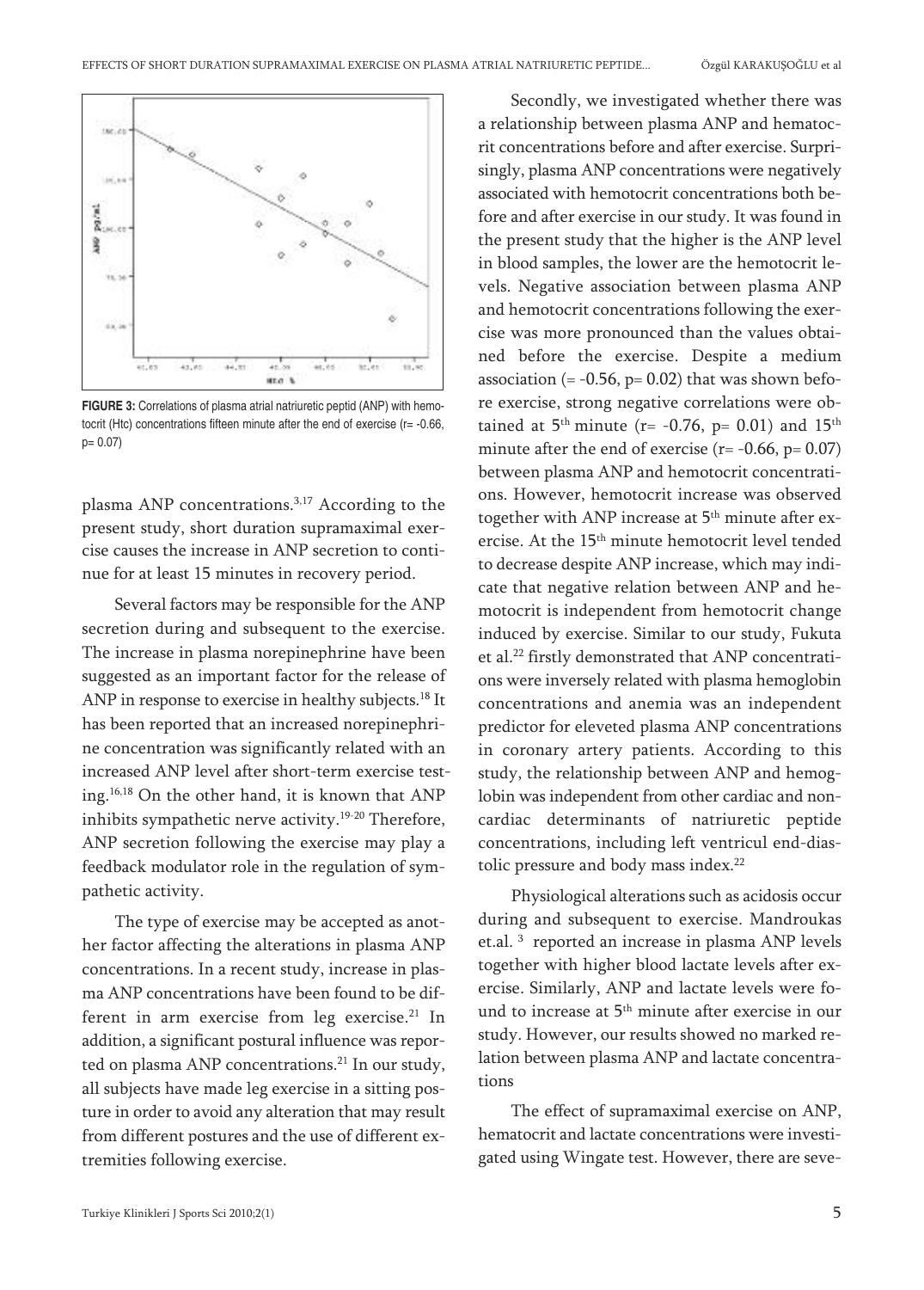

**FIGURE 3:** Correlations of plasma atrial natriuretic peptid (ANP) with hemotocrit (Htc) concentrations fifteen minute after the end of exercise (r= -0.66, p= 0.07)

plasma ANP concentrations. 3,17 According to the present study, short duration supramaximal exercise causes the increase in ANP secretion to continue for at least 15 minutes in recovery period.

Several factors may be responsible for the ANP secretion during and subsequent to the exercise. The increase in plasma norepinephrine have been suggested as an important factor for the release of ANP in response to exercise in healthy subjects. <sup>18</sup> It has been reported that an increased norepinephrine concentration was significantly related with an increased ANP level after short-term exercise testing. 16,18 On the other hand, it is known that ANP inhibits sympathetic nerve activity. 19-20 Therefore, ANP secretion following the exercise may play a feedback modulator role in the regulation of sympathetic activity.

The type of exercise may be accepted as another factor affecting the alterations in plasma ANP concentrations. In a recent study, increase in plasma ANP concentrations have been found to be different in arm exercise from leg exercise. <sup>21</sup> In addition, a significant postural influence was reported on plasma ANP concentrations. <sup>21</sup> In our study, all subjects have made leg exercise in a sitting posture in order to avoid any alteration that may result from different postures and the use of different extremities following exercise.

Secondly, we investigated whether there was a relationship between plasma ANP and hematocrit concentrations before and after exercise. Surprisingly, plasma ANP concentrations were negatively associated with hemotocrit concentrations both before and after exercise in our study. It was found in the present study that the higher is the ANP level in blood samples, the lower are the hemotocrit levels. Negative association between plasma ANP and hemotocrit concentrations following the exercise was more pronounced than the values obtained before the exercise. Despite a medium association  $(= -0.56, p= 0.02)$  that was shown before exercise, strong negative correlations were obtained at  $5<sup>th</sup>$  minute (r= -0.76, p= 0.01) and  $15<sup>th</sup>$ minute after the end of exercise  $(r = -0.66, p = 0.07)$ between plasma ANP and hemotocrit concentrations. However, hemotocrit increase was observed together with ANP increase at 5<sup>th</sup> minute after exercise. At the 15<sup>th</sup> minute hemotocrit level tended to decrease despite ANP increase, which may indicate that negative relation between ANP and hemotocrit is independent from hemotocrit change induced by exercise. Similar to our study, Fukuta et al. <sup>22</sup> firstly demonstrated that ANP concentrations were inversely related with plasma hemoglobin concentrations and anemia was an independent predictor for eleveted plasma ANP concentrations in coronary artery patients. According to this study, the relationship between ANP and hemoglobin was independent from other cardiac and noncardiac determinants of natriuretic peptide concentrations, including left ventricul end-diastolic pressure and body mass index.<sup>22</sup>

Physiological alterations such as acidosis occur during and subsequent to exercise. Mandroukas et.al. <sup>3</sup> reported an increase in plasma ANP levels together with higher blood lactate levels after exercise. Similarly, ANP and lactate levels were found to increase at 5<sup>th</sup> minute after exercise in our study. However, our results showed no marked relation between plasma ANP and lactate concentrations

The effect of supramaximal exercise on ANP, hematocrit and lactate concentrations were investigated using Wingate test. However, there are seve